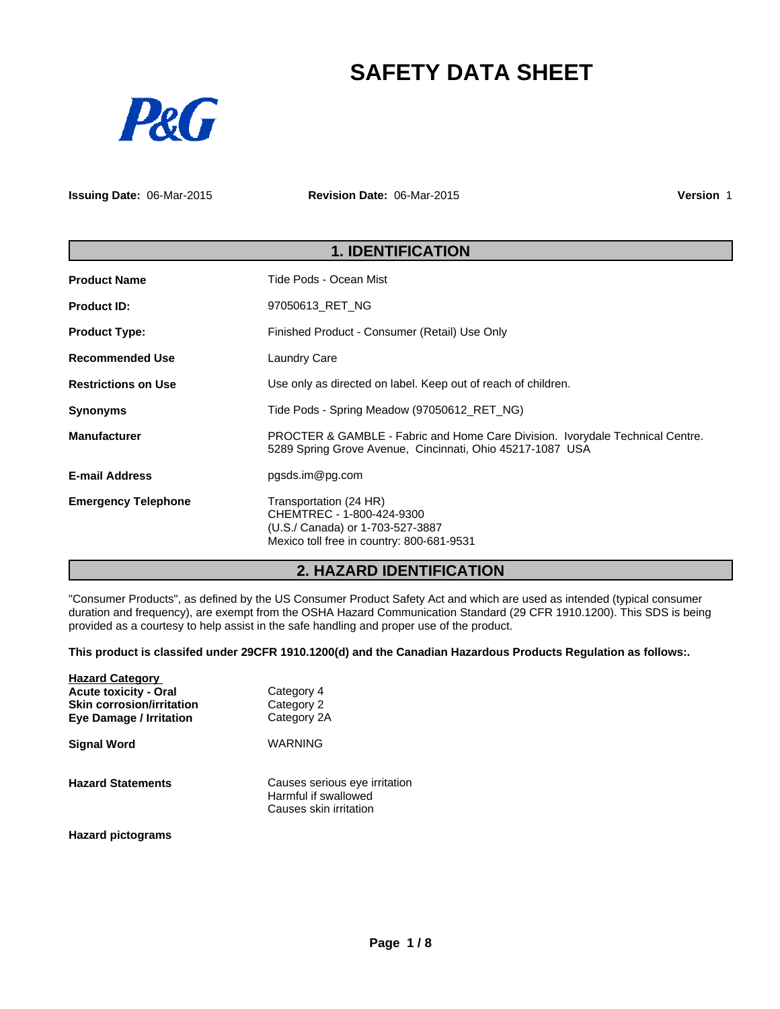# **SAFETY DATA SHEET**



**Issuing Date:** 06-Mar-2015 **Revision Date:** 06-Mar-2015 **Version** 1

|                            | <b>1. IDENTIFICATION</b>                                                                                                                   |  |  |
|----------------------------|--------------------------------------------------------------------------------------------------------------------------------------------|--|--|
| <b>Product Name</b>        | Tide Pods - Ocean Mist                                                                                                                     |  |  |
| <b>Product ID:</b>         | 97050613 RET NG                                                                                                                            |  |  |
| <b>Product Type:</b>       | Finished Product - Consumer (Retail) Use Only                                                                                              |  |  |
| <b>Recommended Use</b>     | <b>Laundry Care</b>                                                                                                                        |  |  |
| <b>Restrictions on Use</b> | Use only as directed on label. Keep out of reach of children.                                                                              |  |  |
| <b>Synonyms</b>            | Tide Pods - Spring Meadow (97050612 RET NG)                                                                                                |  |  |
| <b>Manufacturer</b>        | PROCTER & GAMBLE - Fabric and Home Care Division. Ivorydale Technical Centre.<br>5289 Spring Grove Avenue, Cincinnati, Ohio 45217-1087 USA |  |  |
| <b>E-mail Address</b>      | pgsds.im@pg.com                                                                                                                            |  |  |
| <b>Emergency Telephone</b> | Transportation (24 HR)<br>CHEMTREC - 1-800-424-9300<br>(U.S./ Canada) or 1-703-527-3887<br>Mexico toll free in country: 800-681-9531       |  |  |

# **2. HAZARD IDENTIFICATION**

"Consumer Products", as defined by the US Consumer Product Safety Act and which are used as intended (typical consumer duration and frequency), are exempt from the OSHA Hazard Communication Standard (29 CFR 1910.1200). This SDS is being provided as a courtesy to help assist in the safe handling and proper use of the product.

**This product is classifed under 29CFR 1910.1200(d) and the Canadian Hazardous Products Regulation as follows:.**

| <b>Hazard Category</b><br><b>Acute toxicity - Oral</b><br><b>Skin corrosion/irritation</b><br><b>Eye Damage / Irritation</b> | Category 4<br>Category 2<br>Category 2A                                         |
|------------------------------------------------------------------------------------------------------------------------------|---------------------------------------------------------------------------------|
| <b>Signal Word</b>                                                                                                           | WARNING                                                                         |
| <b>Hazard Statements</b>                                                                                                     | Causes serious eye irritation<br>Harmful if swallowed<br>Causes skin irritation |

**Hazard pictograms**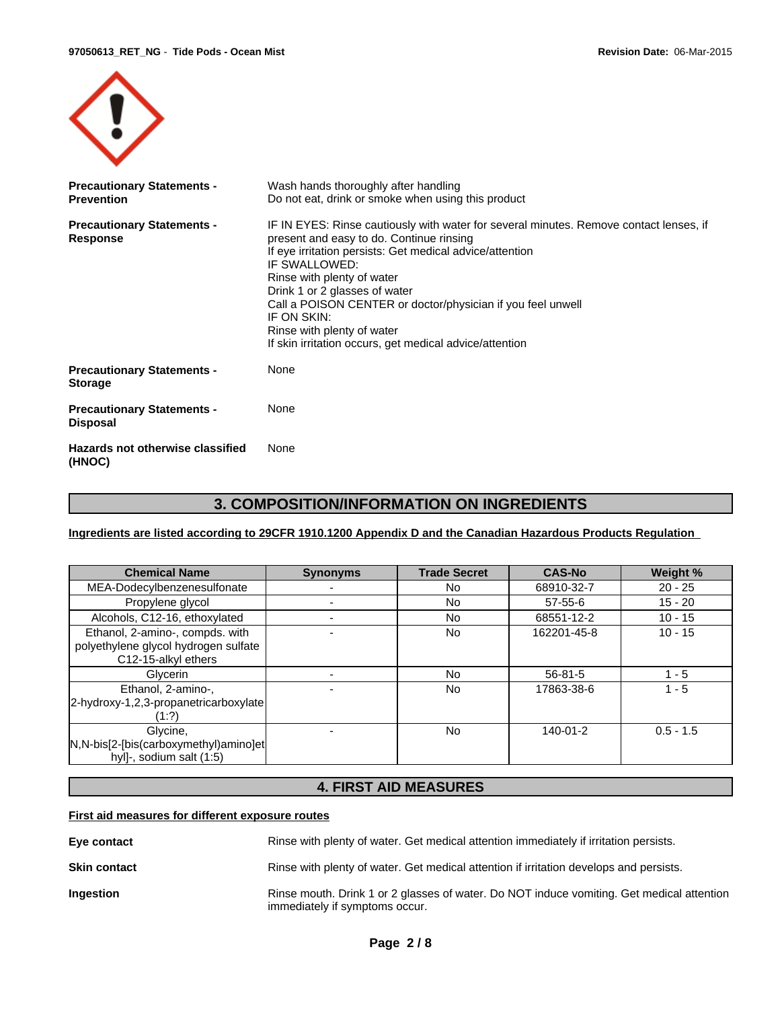

| <b>Precautionary Statements -</b><br><b>Prevention</b> | Wash hands thoroughly after handling<br>Do not eat, drink or smoke when using this product                                                                                                                                                                                                                                                                                                                                                            |
|--------------------------------------------------------|-------------------------------------------------------------------------------------------------------------------------------------------------------------------------------------------------------------------------------------------------------------------------------------------------------------------------------------------------------------------------------------------------------------------------------------------------------|
| <b>Precautionary Statements -</b><br>Response          | IF IN EYES: Rinse cautiously with water for several minutes. Remove contact lenses, if<br>present and easy to do. Continue rinsing<br>If eye irritation persists: Get medical advice/attention<br>IF SWALLOWED:<br>Rinse with plenty of water<br>Drink 1 or 2 glasses of water<br>Call a POISON CENTER or doctor/physician if you feel unwell<br>IF ON SKIN:<br>Rinse with plenty of water<br>If skin irritation occurs, get medical advice/attention |
| <b>Precautionary Statements -</b><br><b>Storage</b>    | None                                                                                                                                                                                                                                                                                                                                                                                                                                                  |
| <b>Precautionary Statements -</b><br><b>Disposal</b>   | None                                                                                                                                                                                                                                                                                                                                                                                                                                                  |
| Hazards not otherwise classified<br>(HNOC)             | None                                                                                                                                                                                                                                                                                                                                                                                                                                                  |

# **3. COMPOSITION/INFORMATION ON INGREDIENTS**

**Ingredients are listed according to 29CFR 1910.1200 Appendix D and the Canadian Hazardous Products Regulation** 

| <b>Chemical Name</b>                                                                           | <b>Synonyms</b> | <b>Trade Secret</b> | <b>CAS-No</b>  | Weight %    |
|------------------------------------------------------------------------------------------------|-----------------|---------------------|----------------|-------------|
| MEA-Dodecylbenzenesulfonate                                                                    |                 | <b>No</b>           | 68910-32-7     | $20 - 25$   |
| Propylene glycol                                                                               |                 | No                  | 57-55-6        | $15 - 20$   |
| Alcohols, C12-16, ethoxylated                                                                  |                 | <b>No</b>           | 68551-12-2     | $10 - 15$   |
| Ethanol, 2-amino-, compds. with<br>polyethylene glycol hydrogen sulfate<br>C12-15-alkyl ethers |                 | No                  | 162201-45-8    | $10 - 15$   |
| Glycerin                                                                                       |                 | No                  | $56 - 81 - 5$  | - 5         |
| Ethanol, 2-amino-,<br>2-hydroxy-1,2,3-propanetricarboxylate<br>(1:2)                           |                 | <b>No</b>           | 17863-38-6     | $1 - 5$     |
| Glycine,<br>N,N-bis[2-[bis(carboxymethyl)amino]et<br>hyl]-, sodium salt (1:5)                  |                 | <b>No</b>           | $140 - 01 - 2$ | $0.5 - 1.5$ |

# **4. FIRST AID MEASURES**

#### **First aid measures for different exposure routes**

| Eye contact         | Rinse with plenty of water. Get medical attention immediately if irritation persists.                                       |
|---------------------|-----------------------------------------------------------------------------------------------------------------------------|
| <b>Skin contact</b> | Rinse with plenty of water. Get medical attention if irritation develops and persists.                                      |
| <b>Ingestion</b>    | Rinse mouth. Drink 1 or 2 glasses of water. Do NOT induce vomiting. Get medical attention<br>immediately if symptoms occur. |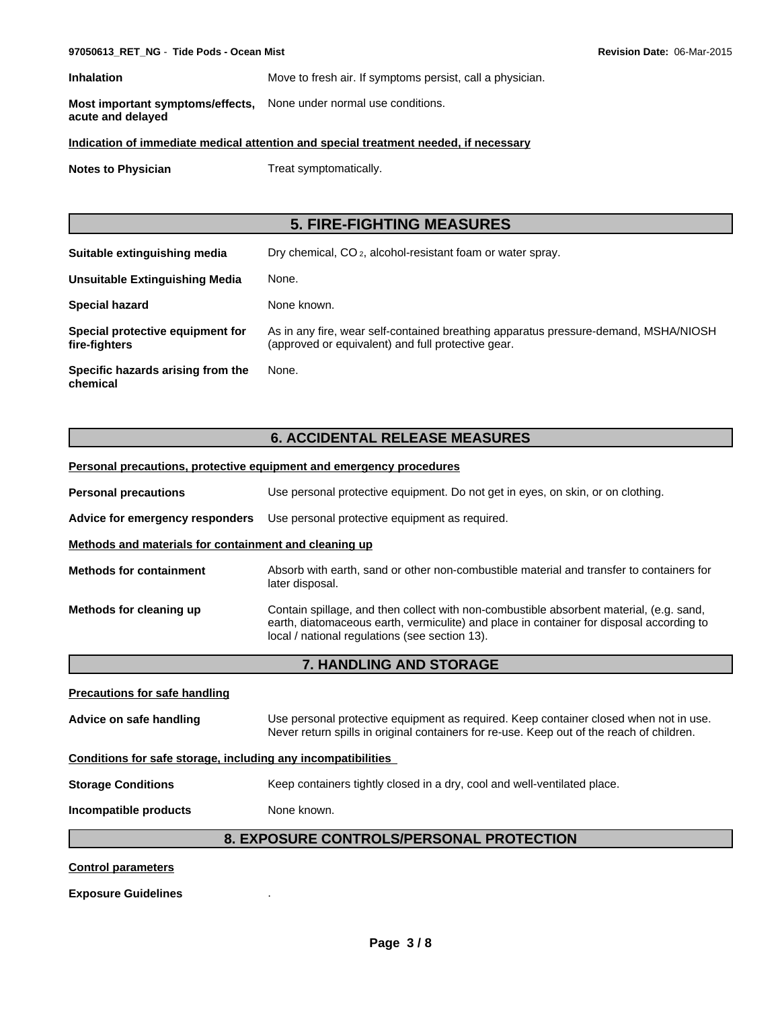**Inhalation** Move to fresh air. If symptoms persist, call a physician.

**Most important symptoms/effects, acute and delayed** None under normal use conditions.

#### **Indication of immediate medical attention and special treatment needed, if necessary**

**Notes to Physician** Treat symptomatically.

# **5. FIRE-FIGHTING MEASURES**

| Suitable extinguishing media                      | Dry chemical, CO <sub>2</sub> , alcohol-resistant foam or water spray.                                                                    |
|---------------------------------------------------|-------------------------------------------------------------------------------------------------------------------------------------------|
| Unsuitable Extinguishing Media                    | None.                                                                                                                                     |
| <b>Special hazard</b>                             | None known.                                                                                                                               |
| Special protective equipment for<br>fire-fighters | As in any fire, wear self-contained breathing apparatus pressure-demand, MSHA/NIOSH<br>(approved or equivalent) and full protective gear. |
| Specific hazards arising from the<br>chemical     | None.                                                                                                                                     |

# **6. ACCIDENTAL RELEASE MEASURES**

|                                                              | <b>Personal precautions, protective equipment and emergency procedures</b>                                                                                                                                                            |  |  |  |  |
|--------------------------------------------------------------|---------------------------------------------------------------------------------------------------------------------------------------------------------------------------------------------------------------------------------------|--|--|--|--|
| <b>Personal precautions</b>                                  | Use personal protective equipment. Do not get in eyes, on skin, or on clothing.                                                                                                                                                       |  |  |  |  |
| Advice for emergency responders                              | Use personal protective equipment as required.                                                                                                                                                                                        |  |  |  |  |
| Methods and materials for containment and cleaning up        |                                                                                                                                                                                                                                       |  |  |  |  |
| <b>Methods for containment</b>                               | Absorb with earth, sand or other non-combustible material and transfer to containers for<br>later disposal.                                                                                                                           |  |  |  |  |
| Methods for cleaning up                                      | Contain spillage, and then collect with non-combustible absorbent material, (e.g. sand,<br>earth, diatomaceous earth, vermiculite) and place in container for disposal according to<br>local / national regulations (see section 13). |  |  |  |  |
|                                                              | 7. HANDLING AND STORAGE                                                                                                                                                                                                               |  |  |  |  |
| <b>Precautions for safe handling</b>                         |                                                                                                                                                                                                                                       |  |  |  |  |
| Advice on safe handling                                      | Use personal protective equipment as required. Keep container closed when not in use.<br>Never return spills in original containers for re-use. Keep out of the reach of children.                                                    |  |  |  |  |
| Conditions for safe storage, including any incompatibilities |                                                                                                                                                                                                                                       |  |  |  |  |
| <b>Storage Conditions</b>                                    | Keep containers tightly closed in a dry, cool and well-ventilated place.                                                                                                                                                              |  |  |  |  |
| Incompatible products                                        | None known.                                                                                                                                                                                                                           |  |  |  |  |
|                                                              | 8. EXPOSURE CONTROLS/PERSONAL PROTECTION                                                                                                                                                                                              |  |  |  |  |
| <b>Control parameters</b>                                    |                                                                                                                                                                                                                                       |  |  |  |  |

**Exposure Guidelines** .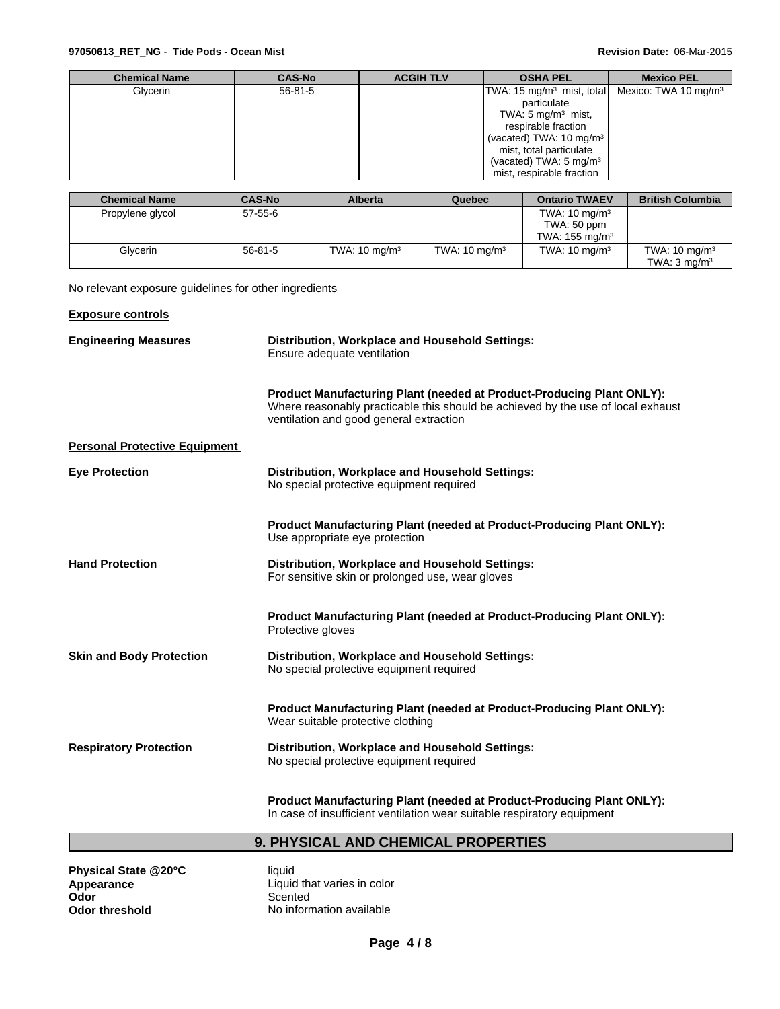| <b>Chemical Name</b> | <b>CAS-No</b> | <b>ACGIH TLV</b> | <b>OSHA PEL</b>                                                        | <b>Mexico PEL</b> |
|----------------------|---------------|------------------|------------------------------------------------------------------------|-------------------|
| Glycerin             | $56 - 81 - 5$ |                  | TWA: 15 mg/m <sup>3</sup> mist, total Mexico: TWA 10 mg/m <sup>3</sup> |                   |
|                      |               |                  | particulate                                                            |                   |
|                      |               |                  | TWA: 5 mg/m $3$ mist,                                                  |                   |
|                      |               |                  | respirable fraction                                                    |                   |
|                      |               |                  | (vacated) TWA: 10 mg/m <sup>3</sup>                                    |                   |
|                      |               |                  | mist, total particulate                                                |                   |
|                      |               |                  | (vacated) TWA: $5 \text{ mg/m}^3$                                      |                   |
|                      |               |                  | mist, respirable fraction                                              |                   |

| <b>Chemical Name</b> | <b>CAS-No</b> | <b>Alberta</b>           | Quebec                   | <b>Ontario TWAEV</b>      | <b>British Columbia</b>  |
|----------------------|---------------|--------------------------|--------------------------|---------------------------|--------------------------|
| Propylene glycol     | 57-55-6       |                          |                          | TWA: $10 \text{ mg/m}^3$  |                          |
|                      |               |                          |                          | TWA: 50 ppm               |                          |
|                      |               |                          |                          | TWA: $155 \text{ ma/m}^3$ |                          |
| Glycerin             | $56 - 81 - 5$ | TWA: $10 \text{ mg/m}^3$ | TWA: $10 \text{ mg/m}^3$ | TWA: $10 \text{ mg/m}^3$  | TWA: $10 \text{ mg/m}^3$ |
|                      |               |                          |                          |                           | TWA: $3 \text{ mg/m}^3$  |

No relevant exposure guidelines for other ingredients

| <b>Exposure controls</b>             |                                                                                                                                                                                                             |  |  |  |
|--------------------------------------|-------------------------------------------------------------------------------------------------------------------------------------------------------------------------------------------------------------|--|--|--|
| <b>Engineering Measures</b>          | Distribution, Workplace and Household Settings:<br>Ensure adequate ventilation                                                                                                                              |  |  |  |
|                                      | <b>Product Manufacturing Plant (needed at Product-Producing Plant ONLY):</b><br>Where reasonably practicable this should be achieved by the use of local exhaust<br>ventilation and good general extraction |  |  |  |
| <b>Personal Protective Equipment</b> |                                                                                                                                                                                                             |  |  |  |
| <b>Eye Protection</b>                | Distribution, Workplace and Household Settings:<br>No special protective equipment required                                                                                                                 |  |  |  |
|                                      | <b>Product Manufacturing Plant (needed at Product-Producing Plant ONLY):</b><br>Use appropriate eye protection                                                                                              |  |  |  |
| <b>Hand Protection</b>               | Distribution, Workplace and Household Settings:<br>For sensitive skin or prolonged use, wear gloves                                                                                                         |  |  |  |
|                                      | Product Manufacturing Plant (needed at Product-Producing Plant ONLY):<br>Protective gloves                                                                                                                  |  |  |  |
| <b>Skin and Body Protection</b>      | Distribution, Workplace and Household Settings:<br>No special protective equipment required                                                                                                                 |  |  |  |
|                                      | <b>Product Manufacturing Plant (needed at Product-Producing Plant ONLY):</b><br>Wear suitable protective clothing                                                                                           |  |  |  |
| <b>Respiratory Protection</b>        | Distribution, Workplace and Household Settings:<br>No special protective equipment required                                                                                                                 |  |  |  |
|                                      | <b>Product Manufacturing Plant (needed at Product-Producing Plant ONLY):</b>                                                                                                                                |  |  |  |

In case of insufficient ventilation wear suitable respiratory equipment

# **9. PHYSICAL AND CHEMICAL PROPERTIES**

| Physical State @20°C  |
|-----------------------|
| Appearance            |
| Odor                  |
| <b>Odor threshold</b> |

**Physical State @20°C** liquid **Appearance** Liquid that varies in color Scented **No information available**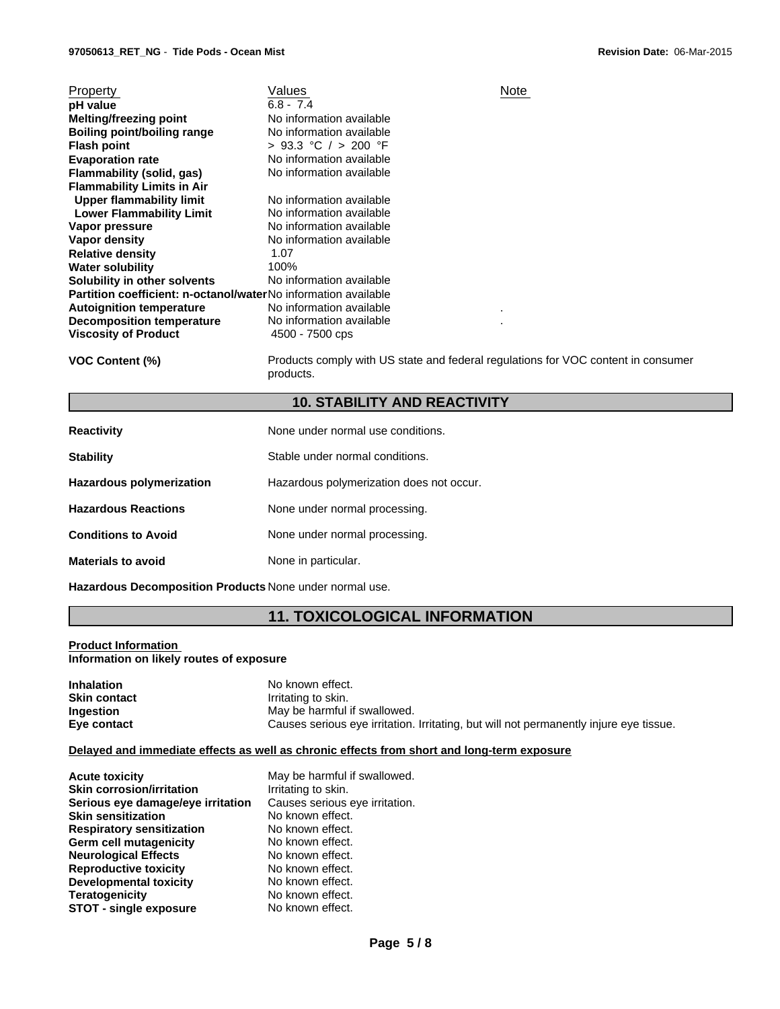| Property                                                              | Values                   | Note |
|-----------------------------------------------------------------------|--------------------------|------|
| pH value                                                              | $6.8 - 7.4$              |      |
| <b>Melting/freezing point</b>                                         | No information available |      |
| Boiling point/boiling range                                           | No information available |      |
| <b>Flash point</b>                                                    | > 93.3 °C / > 200 °F     |      |
| <b>Evaporation rate</b>                                               | No information available |      |
| Flammability (solid, gas)                                             | No information available |      |
| <b>Flammability Limits in Air</b>                                     |                          |      |
| Upper flammability limit                                              | No information available |      |
| <b>Lower Flammability Limit</b>                                       | No information available |      |
| Vapor pressure                                                        | No information available |      |
| Vapor density                                                         | No information available |      |
| <b>Relative density</b>                                               | 1.07                     |      |
| <b>Water solubility</b>                                               | 100%                     |      |
| Solubility in other solvents                                          | No information available |      |
| <b>Partition coefficient: n-octanol/waterNo information available</b> |                          |      |
| <b>Autoignition temperature</b>                                       | No information available |      |
| <b>Decomposition temperature</b>                                      | No information available |      |
| <b>Viscosity of Product</b>                                           | 4500 - 7500 cps          |      |
|                                                                       |                          |      |

**VOC Content (%)** Products comply with US state and federal regulations for VOC content in consumer products.

## **10. STABILITY AND REACTIVITY**

| <b>Reactivity</b>               | None under normal use conditions.        |
|---------------------------------|------------------------------------------|
| <b>Stability</b>                | Stable under normal conditions.          |
| <b>Hazardous polymerization</b> | Hazardous polymerization does not occur. |
| <b>Hazardous Reactions</b>      | None under normal processing.            |
| <b>Conditions to Avoid</b>      | None under normal processing.            |
| <b>Materials to avoid</b>       | None in particular.                      |

**Hazardous Decomposition Products** None under normal use.

# **11. TOXICOLOGICAL INFORMATION**

#### **Product Information Information on likely routes of exposure**

| <b>Inhalation</b>   | No known effect.                                                                       |
|---------------------|----------------------------------------------------------------------------------------|
| <b>Skin contact</b> | Irritating to skin.                                                                    |
| Ingestion           | May be harmful if swallowed.                                                           |
| Eye contact         | Causes serious eye irritation. Irritating, but will not permanently injure eye tissue. |

#### **Delayed and immediate effects as well as chronic effects from short and long-term exposure**

| <b>Acute toxicity</b>             | May be harmful if swallowed.   |
|-----------------------------------|--------------------------------|
| <b>Skin corrosion/irritation</b>  | Irritating to skin.            |
| Serious eye damage/eye irritation | Causes serious eye irritation. |
| <b>Skin sensitization</b>         | No known effect.               |
| <b>Respiratory sensitization</b>  | No known effect.               |
| Germ cell mutagenicity            | No known effect.               |
| <b>Neurological Effects</b>       | No known effect.               |
| <b>Reproductive toxicity</b>      | No known effect.               |
| Developmental toxicity            | No known effect.               |
| <b>Teratogenicity</b>             | No known effect.               |
| <b>STOT - single exposure</b>     | No known effect.               |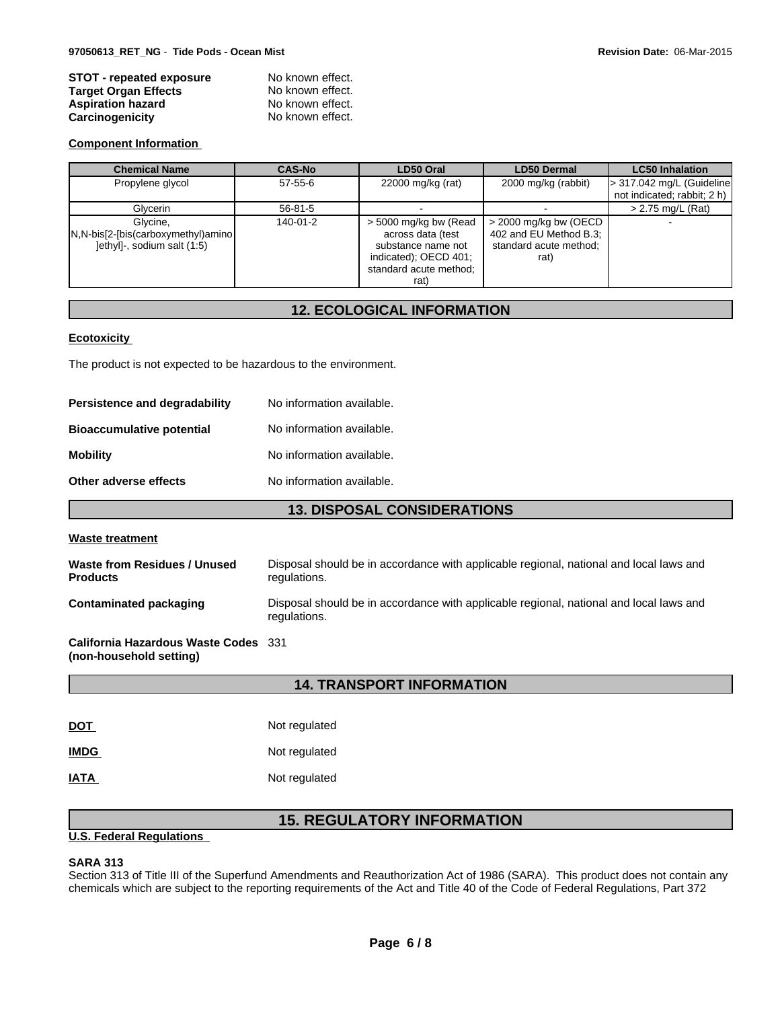| <b>STOT - repeated exposure</b> | No known effect. |  |
|---------------------------------|------------------|--|
| <b>Target Organ Effects</b>     | No known effect. |  |
| <b>Aspiration hazard</b>        | No known effect. |  |
| Carcinogenicity                 | No known effect. |  |

#### **Component Information**

| <b>Chemical Name</b>                                                           | <b>CAS-No</b>  | LD50 Oral                                                                                                                   | <b>LD50 Dermal</b>                                                                  | <b>LC50 Inhalation</b>             |
|--------------------------------------------------------------------------------|----------------|-----------------------------------------------------------------------------------------------------------------------------|-------------------------------------------------------------------------------------|------------------------------------|
| Propylene glycol                                                               | $57 - 55 - 6$  | 22000 mg/kg (rat)                                                                                                           | 2000 mg/kg (rabbit)                                                                 | $\vert$ > 317.042 mg/L (Guideline) |
|                                                                                |                |                                                                                                                             |                                                                                     | not indicated; rabbit; 2 h)        |
| Glycerin                                                                       | $56 - 81 - 5$  |                                                                                                                             |                                                                                     | > 2.75 mg/L (Rat)                  |
| Glycine.<br>N,N-bis[2-[bis(carboxymethyl)amino]<br>lethyll-, sodium salt (1:5) | $140 - 01 - 2$ | > 5000 mg/kg bw (Read<br>across data (test<br>substance name not<br>indicated); OECD 401;<br>standard acute method:<br>rat) | $>$ 2000 mg/kg bw (OECD<br>402 and EU Method B.3;<br>standard acute method;<br>rat) |                                    |

# **12. ECOLOGICAL INFORMATION**

#### **Ecotoxicity**

The product is not expected to be hazardous to the environment.

| <b>Persistence and degradability</b> | No information available. |
|--------------------------------------|---------------------------|
| <b>Bioaccumulative potential</b>     | No information available. |
| Mobility                             | No information available. |
| Other adverse effects                | No information available. |

#### **13. DISPOSAL CONSIDERATIONS**

#### **Waste treatment**

| Waste from Residues / Unused  | Disposal should be in accordance with applicable regional, national and local laws and                 |
|-------------------------------|--------------------------------------------------------------------------------------------------------|
| <b>Products</b>               | regulations.                                                                                           |
| <b>Contaminated packaging</b> | Disposal should be in accordance with applicable regional, national and local laws and<br>regulations. |

**California Hazardous Waste Codes** 331 **(non-household setting)**

#### **14. TRANSPORT INFORMATION**

| <u>DOT</u>  | Not regulated |
|-------------|---------------|
| <b>IMDG</b> | Not regulated |
| IATA        | Not regulated |

# **15. REGULATORY INFORMATION**

#### **U.S. Federal Regulations**

#### **SARA 313**

Section 313 of Title III of the Superfund Amendments and Reauthorization Act of 1986 (SARA). This product does not contain any chemicals which are subject to the reporting requirements of the Act and Title 40 of the Code of Federal Regulations, Part 372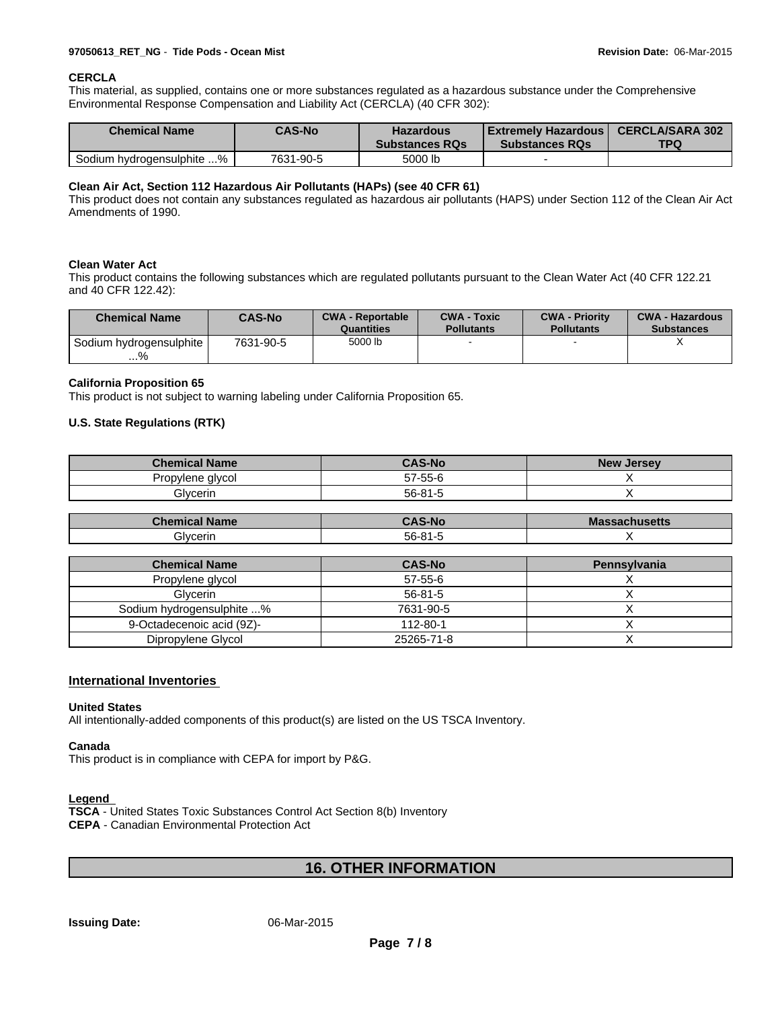#### **CERCLA**

This material, as supplied, contains one or more substances regulated as a hazardous substance under the Comprehensive Environmental Response Compensation and Liability Act (CERCLA) (40 CFR 302):

| <b>Chemical Name</b>      | <b>CAS-No</b> | <b>Hazardous</b><br><b>Substances RQs</b> | Extremelv Hazardous  <br><b>Substances RQs</b> | <b>CERCLA/SARA 302</b><br>TPQ |
|---------------------------|---------------|-------------------------------------------|------------------------------------------------|-------------------------------|
| Sodium hydrogensulphite % | 7631-90-5     | 5000 lb                                   |                                                |                               |

#### **Clean Air Act, Section 112 Hazardous Air Pollutants (HAPs) (see 40 CFR 61)**

This product does not contain any substances regulated as hazardous air pollutants (HAPS) under Section 112 of the Clean Air Act Amendments of 1990.

#### **Clean Water Act**

This product contains the following substances which are regulated pollutants pursuant to the Clean Water Act (40 CFR 122.21 and 40 CFR 122.42):

| <b>Chemical Name</b>          | <b>CAS-No</b> | <b>CWA - Reportable</b><br>Quantities | <b>CWA - Toxic</b><br><b>Pollutants</b> | <b>CWA - Priority</b><br><b>Pollutants</b> | <b>CWA - Hazardous</b><br><b>Substances</b> |
|-------------------------------|---------------|---------------------------------------|-----------------------------------------|--------------------------------------------|---------------------------------------------|
| Sodium hydrogensulphite<br>…% | 7631-90-5     | 5000 lb                               |                                         |                                            |                                             |

#### **California Proposition 65**

This product is not subject to warning labeling under California Proposition 65.

#### **U.S. State Regulations (RTK)**

| <b>Chemical Name</b> | <b>CAS-No</b> | <b>New</b><br>, Jersev |
|----------------------|---------------|------------------------|
| Propylene glycol     | 57-55-6       |                        |
| <b>Givcerin</b>      | $56 - 81 -$   |                        |

| <b>Chemical</b> | AS-No       | <b>Mas</b>          |
|-----------------|-------------|---------------------|
| <b>Name</b>     | $\sim$      | <b>assachusetts</b> |
| <b>Glycerin</b> | $56 - 81 -$ |                     |

| <b>Chemical Name</b>      | <b>CAS-No</b> | Pennsylvania |
|---------------------------|---------------|--------------|
| Propylene glycol          | $57 - 55 - 6$ |              |
| <b>Glvcerin</b>           | $56 - 81 - 5$ |              |
| Sodium hydrogensulphite % | 7631-90-5     |              |
| 9-Octadecenoic acid (9Z)- | 112-80-1      |              |
| Dipropylene Glycol        | 25265-71-8    |              |

#### **International Inventories**

#### **United States**

All intentionally-added components of this product(s) are listed on the US TSCA Inventory.

#### **Canada**

This product is in compliance with CEPA for import by P&G.

#### **Legend**

**TSCA** - United States Toxic Substances Control Act Section 8(b) Inventory **CEPA** - Canadian Environmental Protection Act

### **16. OTHER INFORMATION**

#### **Issuing Date:** 06-Mar-2015